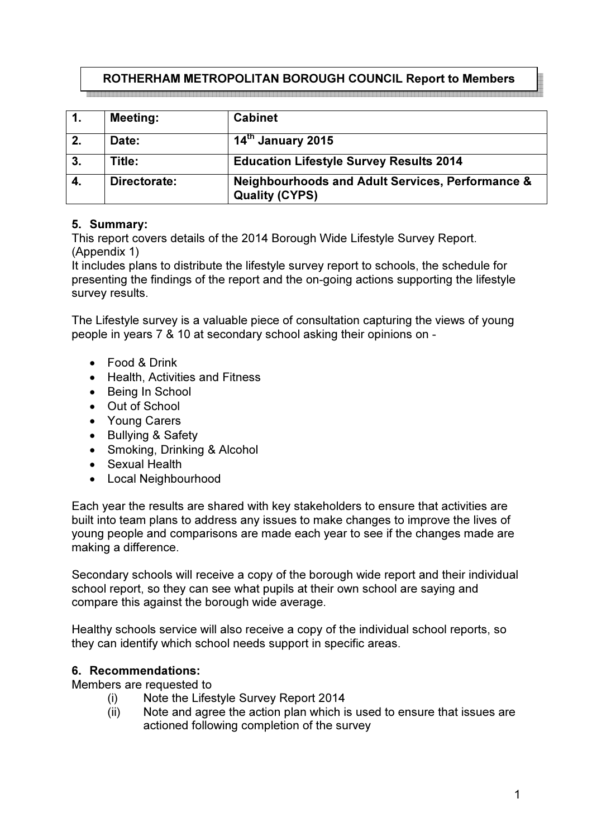# ROTHERHAM METROPOLITAN BOROUGH COUNCIL Report to Members

la se e el segundo de la segunda de la contrada de la contrada de la contrada de la contrada de la contrada de

| 1. | <b>Meeting:</b> | <b>Cabinet</b>                                                                       |
|----|-----------------|--------------------------------------------------------------------------------------|
|    | Date:           | 14th January 2015                                                                    |
| 3. | Title:          | <b>Education Lifestyle Survey Results 2014</b>                                       |
| 4. | Directorate:    | <b>Neighbourhoods and Adult Services, Performance &amp;</b><br><b>Quality (CYPS)</b> |

# 5. Summary:

This report covers details of the 2014 Borough Wide Lifestyle Survey Report. (Appendix 1)

It includes plans to distribute the lifestyle survey report to schools, the schedule for presenting the findings of the report and the on-going actions supporting the lifestyle survey results.

The Lifestyle survey is a valuable piece of consultation capturing the views of young people in years 7 & 10 at secondary school asking their opinions on -

- Food & Drink
- Health, Activities and Fitness
- Being In School
- Out of School
- Young Carers
- Bullying & Safety
- Smoking, Drinking & Alcohol
- Sexual Health
- Local Neighbourhood

Each year the results are shared with key stakeholders to ensure that activities are built into team plans to address any issues to make changes to improve the lives of young people and comparisons are made each year to see if the changes made are making a difference.

Secondary schools will receive a copy of the borough wide report and their individual school report, so they can see what pupils at their own school are saying and compare this against the borough wide average.

Healthy schools service will also receive a copy of the individual school reports, so they can identify which school needs support in specific areas.

#### 6. Recommendations:

Members are requested to

- (i) Note the Lifestyle Survey Report 2014
- (ii) Note and agree the action plan which is used to ensure that issues are actioned following completion of the survey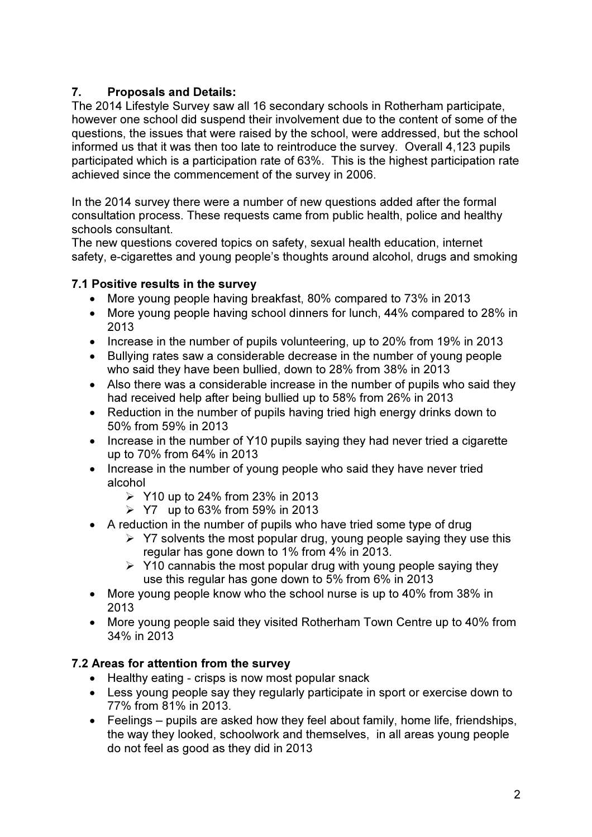# 7. Proposals and Details:

The 2014 Lifestyle Survey saw all 16 secondary schools in Rotherham participate, however one school did suspend their involvement due to the content of some of the questions, the issues that were raised by the school, were addressed, but the school informed us that it was then too late to reintroduce the survey. Overall 4,123 pupils participated which is a participation rate of 63%. This is the highest participation rate achieved since the commencement of the survey in 2006.

In the 2014 survey there were a number of new questions added after the formal consultation process. These requests came from public health, police and healthy schools consultant.

The new questions covered topics on safety, sexual health education, internet safety, e-cigarettes and young people's thoughts around alcohol, drugs and smoking

# 7.1 Positive results in the survey

- More young people having breakfast, 80% compared to 73% in 2013
- More young people having school dinners for lunch, 44% compared to 28% in 2013
- Increase in the number of pupils volunteering, up to 20% from 19% in 2013
- Bullying rates saw a considerable decrease in the number of young people who said they have been bullied, down to 28% from 38% in 2013
- Also there was a considerable increase in the number of pupils who said they had received help after being bullied up to 58% from 26% in 2013
- Reduction in the number of pupils having tried high energy drinks down to 50% from 59% in 2013
- Increase in the number of Y10 pupils saying they had never tried a cigarette up to 70% from 64% in 2013
- Increase in the number of young people who said they have never tried alcohol
	- $\triangleright$  Y10 up to 24% from 23% in 2013
	- $\geq$  Y7 up to 63% from 59% in 2013
- A reduction in the number of pupils who have tried some type of drug
	- $\triangleright$  Y7 solvents the most popular drug, young people saying they use this regular has gone down to 1% from 4% in 2013.
	- $\triangleright$  Y10 cannabis the most popular drug with young people saying they use this regular has gone down to 5% from 6% in 2013
- More young people know who the school nurse is up to 40% from 38% in 2013
- More young people said they visited Rotherham Town Centre up to 40% from 34% in 2013

# 7.2 Areas for attention from the survey

- Healthy eating crisps is now most popular snack
- Less young people say they regularly participate in sport or exercise down to 77% from 81% in 2013.
- Feelings pupils are asked how they feel about family, home life, friendships, the way they looked, schoolwork and themselves, in all areas young people do not feel as good as they did in 2013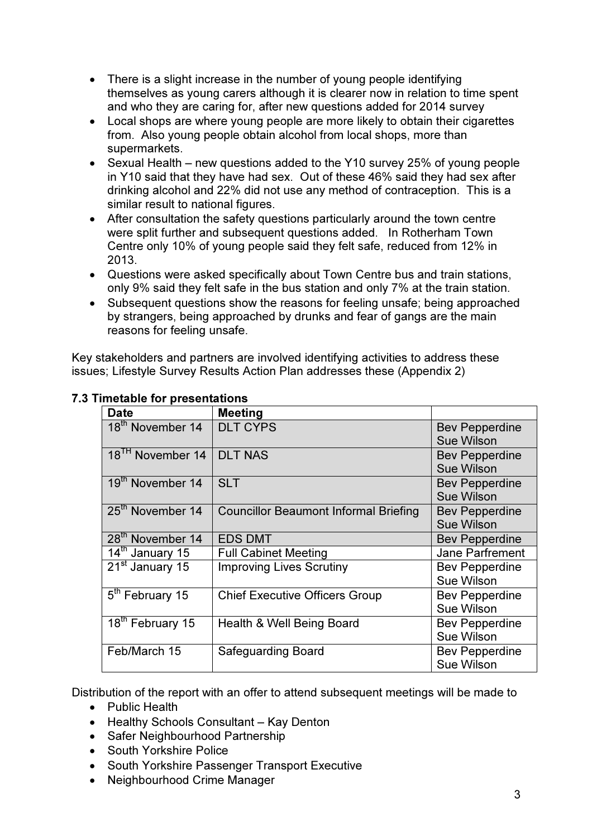- There is a slight increase in the number of young people identifying themselves as young carers although it is clearer now in relation to time spent and who they are caring for, after new questions added for 2014 survey
- Local shops are where young people are more likely to obtain their cigarettes from. Also young people obtain alcohol from local shops, more than supermarkets.
- Sexual Health new questions added to the Y10 survey 25% of young people in Y10 said that they have had sex. Out of these 46% said they had sex after drinking alcohol and 22% did not use any method of contraception. This is a similar result to national figures.
- After consultation the safety questions particularly around the town centre were split further and subsequent questions added. In Rotherham Town Centre only 10% of young people said they felt safe, reduced from 12% in 2013.
- Questions were asked specifically about Town Centre bus and train stations, only 9% said they felt safe in the bus station and only 7% at the train station.
- Subsequent questions show the reasons for feeling unsafe; being approached by strangers, being approached by drunks and fear of gangs are the main reasons for feeling unsafe.

Key stakeholders and partners are involved identifying activities to address these issues; Lifestyle Survey Results Action Plan addresses these (Appendix 2)

| <b>Date</b>                  | <b>Meeting</b>                               |                       |
|------------------------------|----------------------------------------------|-----------------------|
| 18 <sup>th</sup> November 14 | <b>DLT CYPS</b>                              | <b>Bev Pepperdine</b> |
|                              |                                              | <b>Sue Wilson</b>     |
| 18 <sup>TH</sup> November 14 | <b>DLT NAS</b>                               | <b>Bev Pepperdine</b> |
|                              |                                              | <b>Sue Wilson</b>     |
| 19 <sup>th</sup> November 14 | <b>SLT</b>                                   | <b>Bev Pepperdine</b> |
|                              |                                              | <b>Sue Wilson</b>     |
| 25 <sup>th</sup> November 14 | <b>Councillor Beaumont Informal Briefing</b> | <b>Bev Pepperdine</b> |
|                              |                                              | <b>Sue Wilson</b>     |
| 28 <sup>th</sup> November 14 | <b>EDS DMT</b>                               | <b>Bev Pepperdine</b> |
| 14 <sup>th</sup> January 15  | <b>Full Cabinet Meeting</b>                  | Jane Parfrement       |
| 21 <sup>st</sup> January 15  | <b>Improving Lives Scrutiny</b>              | <b>Bev Pepperdine</b> |
|                              |                                              | <b>Sue Wilson</b>     |
| 5 <sup>th</sup> February 15  | <b>Chief Executive Officers Group</b>        | <b>Bev Pepperdine</b> |
|                              |                                              | Sue Wilson            |
| 18 <sup>th</sup> February 15 | Health & Well Being Board                    | <b>Bev Pepperdine</b> |
|                              |                                              | Sue Wilson            |
| Feb/March 15                 | <b>Safeguarding Board</b>                    | <b>Bev Pepperdine</b> |
|                              |                                              | <b>Sue Wilson</b>     |

## 7.3 Timetable for presentations

Distribution of the report with an offer to attend subsequent meetings will be made to

- Public Health
- Healthy Schools Consultant Kay Denton
- Safer Neighbourhood Partnership
- South Yorkshire Police
- South Yorkshire Passenger Transport Executive
- Neighbourhood Crime Manager